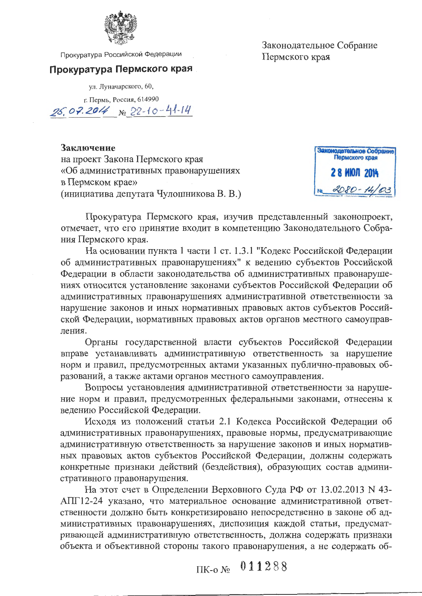

Прокуратура Российской Федерации

#### Прокуратура Пермского края

ул. Луначарского, 60,

г. Пермь, Россия, 614990

25.07.2014 No 22-10-41-14

Заключение на проект Закона Пермского края «Об административных правонарушениях в Пермском крае» (инициатива депутата Чулошникова В. В.)



Прокуратура Пермского края, изучив представленный законопроект, отмечает, что его принятие входит в компетенцию Законодательного Собрания Пермского края.

На основании пункта 1 части 1 ст. 1.3.1 "Кодекс Российской Федерации об административных правонарушениях" к ведению субъектов Российской Федерации в области законодательства об административных правонарушениях относится установление законами субъектов Российской Федерации об административных правонарушениях административной ответственности за нарушение законов и иных нормативных правовых актов субъектов Российской Федерации, нормативных правовых актов органов местного самоуправления.

Органы государственной власти субъектов Российской Федерации вправе устанавливать административную ответственность за нарушение норм и правил, предусмотренных актами указанных публично-правовых образований, а также актами органов местного самоуправления.

Вопросы установления административной ответственности за нарушение норм и правил, предусмотренных федеральными законами, отнесены к ведению Российской Федерации.

Исходя из положений статьи 2.1 Кодекса Российской Федерации об административных правонарушениях, правовые нормы, предусматривающие административную ответственность за нарушение законов и иных нормативных правовых актов субъектов Российской Федерации, должны содержать конкретные признаки действий (бездействия), образующих состав административного правонарушения.

На этот счет в Определении Верховного Суда РФ от 13.02.2013 N 43-АПГ12-24 указано, что материальное основание административной ответственности должно быть конкретизировано непосредственно в законе об административных правонарушениях, диспозиция каждой статьи, предусматривающей административную ответственность, должна содержать признаки объекта и объективной стороны такого правонарушения, а не содержать об-

 $IIK-O N<sub>2</sub>$  011288

Законодательное Собрание Пермского края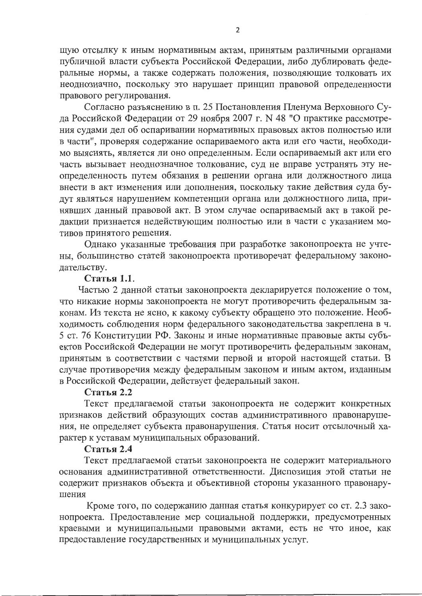щую отсылку к иным нормативным актам, принятым различными органами публичной власти субъекта Российской Федерации, либо дублировать федеральные нормы, а также содержать положения, позволяющие толковать их неоднозначно, поскольку это нарушает принцип правовой определенности правового регулирования.

Согласно разъяснению в п. 25 Постановления Пленума Верховного Суда Российской Федерации от 29 ноября 2007 г. N 48 "О практике рассмотрения судами дел об оспаривании нормативных правовых актов полностью или в части", проверяя содержание оспариваемого акта или его части, необходимо выяснять, является ли оно определенным. Если оспариваемый акт или его часть вызывает неоднозначное толкование, суд не вправе устранять эту неопределенность путем обязания в решении органа или должностного лица внести в акт изменения или дополнения, поскольку такие действия суда будут являться нарушением компетенции органа или должностного лица, принявших данный правовой акт. В этом случае оспариваемый акт в такой редакции признается недействующим полностью или в части с указанием мотивов принятого решения.

Однако указанные требования при разработке законопроекта не учтены, большинство статей законопроекта противоречат федеральному законодательству.

#### Статья 1.1.

Частью 2 данной статьи законопроекта декларируется положение о том, что никакие нормы законопроекта не могут противоречить федеральным законам. Из текста не ясно, к какому субъекту обращено это положение. Необходимость соблюдения норм федерального законодательства закреплена в ч. 5 ст. 76 Конституции РФ. Законы и иные нормативные правовые акты субъектов Российской Федерации не могут противоречить федеральным законам, принятым в соответствии с частями первой и второй настоящей статьи. В случае противоречия между федеральным законом и иным актом, изданным в Российской Федерации, действует федеральный закон.

#### Статья 2.2

Текст предлагаемой статьи законопроекта не содержит конкретных признаков действий образующих состав административного правонарушения, не определяет субъекта правонарушения. Статья носит отсылочный характер к уставам муниципальных образований.

# Статья 2.4

Текст предлагаемой статьи законопроекта не содержит материального основания административной ответственности. Диспозиция этой статьи не содержит признаков объекта и объективной стороны указанного правонарушения

Кроме того, по содержанию данная статья конкурирует со ст. 2.3 законопроекта. Предоставление мер социальной поддержки, предусмотренных краевыми и муниципальными правовыми актами, есть не что иное, как предоставление государственных и муниципальных услуг.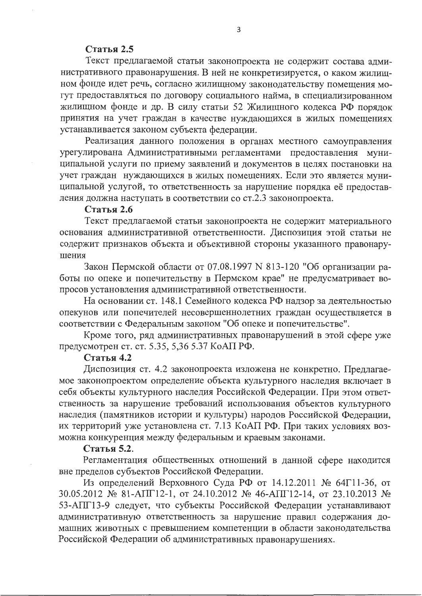### Статья 2.5

Текст предлагаемой статьи законопроекта не содержит состава административного правонарушения. В ней не конкретизируется, о каком жилищном фонде идет речь, согласно жилищному законодательству помещения могут предоставляться по договору социального найма, в специализированном жилищном фонде и др. В силу статьи 52 Жилищного кодекса РФ порядок принятия на учет граждан в качестве нуждающихся в жилых помещениях устанавливается законом субъекта федерации.

Реализация данного положения в органах местного самоуправления урегулирована Административными регламентами предоставления муниципальной услуги по приему заявлений и документов в целях постановки на учет граждан нуждающихся в жилых помещениях. Если это является муниципальной услугой, то ответственность за нарушение порядка её предоставления должна наступать в соответствии со ст.2.3 законопроекта.

#### Статья 2.6

Текст предлагаемой статьи законопроекта не содержит материального основания административной ответственности. Диспозиция этой статьи не содержит признаков объекта и объективной стороны указанного правонарушения

Закон Пермской области от 07.08.1997 N 813-120 "Об организации работы по опеке и попечительству в Пермском крае" не предусматривает вопросов установления административной ответственности.

На основании ст. 148.1 Семейного кодекса РФ надзор за деятельностью опекунов или попечителей несовершеннолетних граждан осуществляется в соответствии с Федеральным законом "Об опеке и попечительстве".

Кроме того, ряд административных правонарушений в этой сфере уже предусмотрен ст. ст. 5.35, 5,36 5.37 КоАП РФ.

## Статья 4.2

Диспозиция ст. 4.2 законопроекта изложена не конкретно. Предлагаемое законопроектом определение объекта культурного наследия включает в себя объекты культурного наследия Российской Федерации. При этом ответственность за нарушение требований использования объектов культурного наследия (памятников истории и культуры) народов Российской Федерации, их территорий уже установлена ст. 7.13 КоАП РФ. При таких условиях возможна конкуренция между федеральным и краевым законами.

### Статья 5.2.

Регламентация общественных отношений в данной сфере находится вне пределов субъектов Российской Федерации.

Из определений Верховного Суда РФ от 14.12.2011 № 64Г11-36, от 30.05.2012 № 81-АПГ12-1, от 24.10.2012 № 46-АПГ12-14, от 23.10.2013 № 53-АПГ13-9 следует, что субъекты Российской Федерации устанавливают административную ответственность за нарушение правил содержания домашних животных с превышением компетенции в области законодательства Российской Федерации об административных правонарушениях.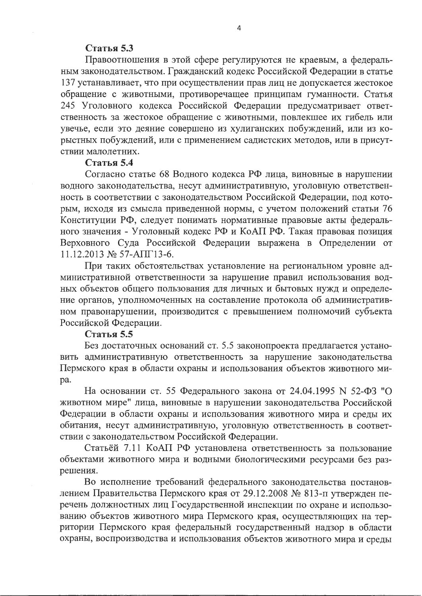#### Статья 5.3

Правоотношения в этой сфере регулируются не краевым, а федеральным законодательством. Гражданский кодекс Российской Федерации в статье 137 устанавливает, что при осуществлении прав лиц не допускается жестокое обращение с животными, противоречащее принципам гуманности. Статья 245 Уголовного кодекса Российской Федерации предусматривает ответственность за жестокое обращение с животными, повлекшее их гибель или увечье, если это деяние совершено из хулиганских побуждений, или из корыстных побуждений, или с применением садистских методов, или в присутствии малолетних.

#### Статья 5.4

Согласно статье 68 Водного кодекса РФ лица, виновные в нарушении водного законодательства, несут административную, уголовную ответственность в соответствии с законодательством Российской Федерации, под которым, исходя из смысла приведенной нормы, с учетом положений статьи 76 Конституции РФ, следует понимать нормативные правовые акты федерального значения - Уголовный кодекс РФ и КоАП РФ. Такая правовая позиция Верховного Суда Российской Федерации выражена в Определении от 11.12.2013 № 57-AIII 13-6.

При таких обстоятельствах установление на региональном уровне административной ответственности за нарушение правил использования водных объектов общего пользования для личных и бытовых нужд и определение органов, уполномоченных на составление протокола об административном правонарушении, производится с превышением полномочий субъекта Российской Федерации.

### **Статья 5.5**

Без достаточных оснований ст. 5.5 законопроекта предлагается установить административную ответственность за нарушение законодательства Пермского края в области охраны и использования объектов животного миpa.

На основании ст. 55 Федерального закона от 24.04.1995 N 52-ФЗ "О животном мире" лица, виновные в нарушении законодательства Российской Федерации в области охраны и использования животного мира и среды их обитания, несут административную, уголовную ответственность в соответствии с законодательством Российской Федерации.

Статьёй 7.11 КоАП РФ установлена ответственность за пользование объектами животного мира и водными биологическими ресурсами без разрешения.

Во исполнение требований федерального законодательства постановлением Правительства Пермского края от 29.12.2008 № 813-п утвержден перечень должностных лиц Государственной инспекции по охране и использованию объектов животного мира Пермского края, осуществляющих на территории Пермского края федеральный государственный надзор в области охраны, воспроизводства и использования объектов животного мира и среды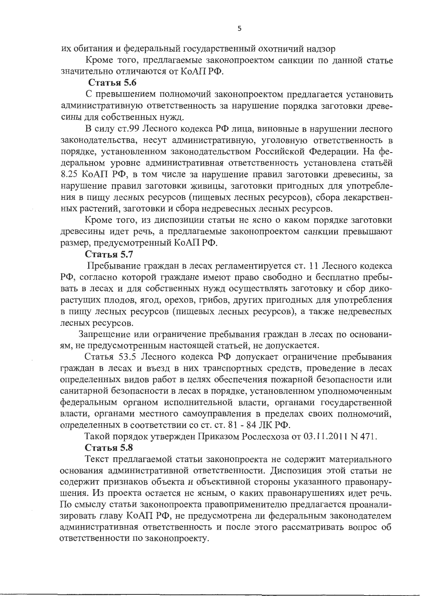их обитания и федеральный государственный охотничий надзор

Кроме того, предлагаемые законопроектом санкции по данной статье значительно отличаются от КоАП РФ.

#### Статья 5.6

С превышением полномочий законопроектом предлагается установить административную ответственность за нарушение порядка заготовки древесины для собственных нужд.

В силу ст.99 Лесного кодекса РФ лица, виновные в нарушении лесного законодательства, несут административную, уголовную ответственность в порядке, установленном законодательством Российской Федерации. На федеральном уровне административная ответственность установлена статьёй 8.25 КоАП РФ, в том числе за нарушение правил заготовки древесины, за нарушение правил заготовки живицы, заготовки пригодных для употребления в пищу лесных ресурсов (пищевых лесных ресурсов), сбора лекарственных растений, заготовки и сбора недревесных лесных ресурсов.

Кроме того, из диспозиции статьи не ясно о каком порядке заготовки древесины идет речь, а предлагаемые законопроектом санкции превышают размер, предусмотренный КоАП РФ.

#### Статья 5.7

Пребывание граждан в лесах регламентируется ст. 11 Лесного кодекса РФ, согласно которой граждане имеют право свободно и бесплатно пребывать в лесах и для собственных нужд осуществлять заготовку и сбор дикорастущих плодов, ягод, орехов, грибов, других пригодных для употребления в пищу лесных ресурсов (пищевых лесных ресурсов), а также недревесных лесных ресурсов.

Запрещение или ограничение пребывания граждан в лесах по основаниям, не предусмотренным настоящей статьей, не допускается.

Статья 53.5 Лесного кодекса РФ допускает ограничение пребывания граждан в лесах и въезд в них транспортных средств, проведение в лесах определенных видов работ в целях обеспечения пожарной безопасности или санитарной безопасности в лесах в порядке, установленном уполномоченным федеральным органом исполнительной власти, органами государственной власти, органами местного самоуправления в пределах своих полномочий, определенных в соответствии со ст. ст. 81 - 84 ЛК РФ.

Такой порядок утвержден Приказом Рослесхоза от 03.11.2011 N 471.

#### Статья 5.8

Текст предлагаемой статьи законопроекта не содержит материального основания административной ответственности. Диспозиция этой статьи не содержит признаков объекта и объективной стороны указанного правонарушения. Из проекта остается не ясным, о каких правонарушениях идет речь. По смыслу статьи законопроекта правоприменителю предлагается проанализировать главу КоАП РФ, не предусмотрена ли федеральным законодателем административная ответственность и после этого рассматривать вопрос об ответственности по законопроекту.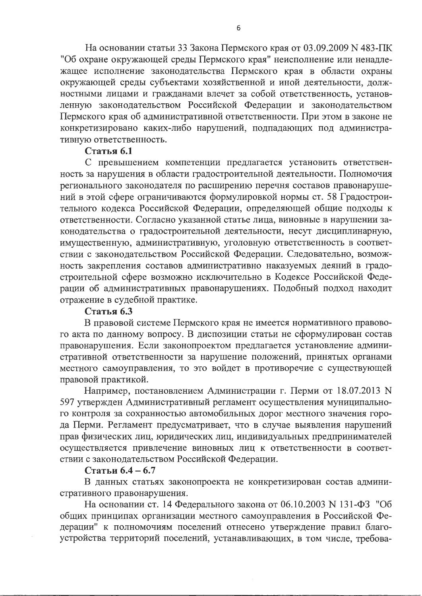На основании статьи 33 Закона Пермского края от 03.09.2009 N 483-ПК "Об охране окружающей среды Пермского края" неисполнение или ненадлежащее исполнение законодательства Пермского края в области охраны окружающей среды субъектами хозяйственной и иной деятельности, должностными лицами и гражданами влечет за собой ответственность, установленную законодательством Российской Федерации и законодательством Пермского края об административной ответственности. При этом в законе не конкретизировано каких-либо нарушений, подпадающих под административную ответственность.

## Статья 6.1

С превышением компетенции предлагается установить ответственность за нарушения в области градостроительной деятельности. Полномочия регионального законодателя по расширению перечня составов правонарушений в этой сфере ограничиваются формулировкой нормы ст. 58 Градостроительного кодекса Российской Федерации, определяющей общие подходы к ответственности. Согласно указанной статье лица, виновные в нарушении законодательства о градостроительной деятельности, несут дисциплинарную, имущественную, административную, уголовную ответственность в соответствии с законодательством Российской Федерации. Следовательно, возможность закрепления составов административно наказуемых деяний в градостроительной сфере возможно исключительно в Кодексе Российской Федерации об административных правонарушениях. Подобный подход находит отражение в судебной практике.

# Статья 6.3

В правовой системе Пермского края не имеется нормативного правового акта по данному вопросу. В диспозиции статьи не сформулирован состав правонарушения. Если законопроектом предлагается установление административной ответственности за нарушение положений, принятых органами местного самоуправления, то это войдет в противоречие с существующей правовой практикой.

Например, постановлением Администрации г. Перми от 18.07.2013 N 597 утвержден Административный регламент осуществления муниципального контроля за сохранностью автомобильных дорог местного значения города Перми. Регламент предусматривает, что в случае выявления нарушений прав физических лиц, юридических лиц, индивидуальных предпринимателей осуществляется привлечение виновных лиц к ответственности в соответствии с законодательством Российской Федерации.

### Статьи 6.4 - 6.7

В данных статьях законопроекта не конкретизирован состав административного правонарушения.

На основании ст. 14 Федерального закона от 06.10.2003 N 131-ФЗ "Об общих принципах организации местного самоуправления в Российской Федерации" к полномочиям поселений отнесено утверждение правил благоустройства территорий поселений, устанавливающих, в том числе, требова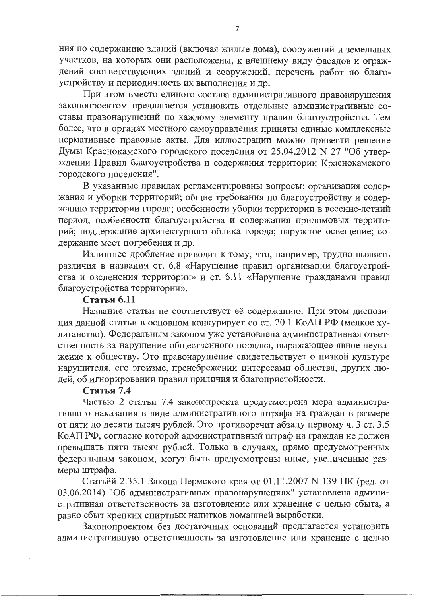ния по содержанию зданий (включая жилые дома), сооружений и земельных участков, на которых они расположены, к внешнему виду фасадов и ограждений соответствующих зданий и сооружений, перечень работ по благоустройству и периодичность их выполнения и др.

При этом вместо единого состава административного правонарушения законопроектом предлагается установить отдельные административные составы правонарушений по каждому элементу правил благоустройства. Тем более, что в органах местного самоуправления приняты единые комплексные нормативные правовые акты. Для иллюстрации можно привести решение Думы Краснокамского городского поселения от 25.04.2012 N 27 "Об утверждении Правил благоустройства и содержания территории Краснокамского городского поселения".

В указанные правилах регламентированы вопросы: организация содержания и уборки территорий; общие требования по благоустройству и содержанию территории города; особенности уборки территории в весенне-летний период; особенности благоустройства и содержания придомовых территорий; поддержание архитектурного облика города; наружное освещение; содержание мест погребения и др.

Излишнее дробление приводит к тому, что, например, трудно выявить различия в названии ст. 6.8 «Нарушение правил организации благоустройства и озеленения территории» и ст. 6.11 «Нарушение гражданами правил благоустройства территории».

## Статья 6.11

Название статьи не соответствует её содержанию. При этом диспозиция данной статьи в основном конкурирует со ст. 20.1 КоАП РФ (мелкое хулиганство). Федеральным законом уже установлена административная ответственность за нарушение общественного порядка, выражающее явное неуважение к обществу. Это правонарушение свидетельствует о низкой культуре нарушителя, его эгоизме, пренебрежении интересами общества, других людей, об игнорировании правил приличия и благопристойности.

### Статья 7.4

Частью 2 статьи 7.4 законопроекта предусмотрена мера административного наказания в виде административного штрафа на граждан в размере от пяти до десяти тысяч рублей. Это противоречит абзацу первому ч. 3 ст. 3.5 КоАП РФ, согласно которой административный штраф на граждан не должен превышать пяти тысяч рублей. Только в случаях, прямо предусмотренных федеральным законом, могут быть предусмотрены иные, увеличенные размеры штрафа.

Статьёй 2.35.1 Закона Пермского края от 01.11.2007 N 139-ПК (ред. от 03.06.2014) "Об административных правонарушениях" установлена административная ответственность за изготовление или хранение с целью сбыта, а равно сбыт крепких спиртных напитков домашней выработки.

Законопроектом без достаточных оснований предлагается установить административную ответственность за изготовление или хранение с целью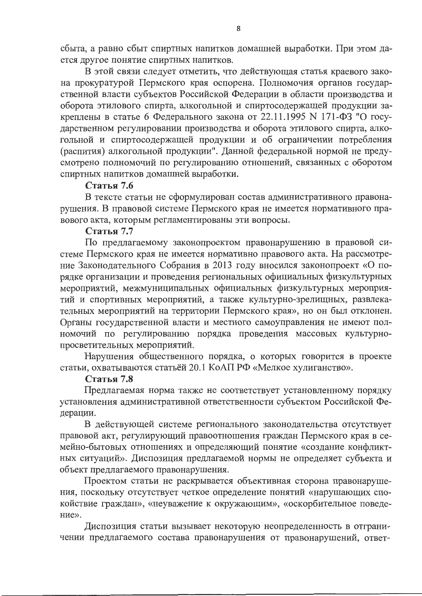сбыта, а равно сбыт спиртных напитков домашней выработки. При этом дается другое понятие спиртных напитков.

В этой связи следует отметить, что действующая статья краевого закона прокуратурой Пермского края оспорена. Полномочия органов государственной власти субъектов Российской Федерации в области производства и оборота этилового спирта, алкогольной и спиртосодержащей продукции закреплены в статье 6 Федерального закона от 22.11.1995 N 171-ФЗ "О государственном регулировании производства и оборота этилового спирта, алкогольной и спиртосодержащей продукции и об ограничении потребления (распития) алкогольной продукции". Данной федеральной нормой не предусмотрено полномочий по регулированию отношений, связанных с оборотом спиртных напитков домашней выработки.

## Статья 7.6

В тексте статьи не сформулирован состав административного правонарушения. В правовой системе Пермского края не имеется нормативного правового акта, которым регламентированы эти вопросы.

## Статья 7.7

По предлагаемому законопроектом правонарушению в правовой системе Пермского края не имеется нормативно правового акта. На рассмотрение Законодательного Собрания в 2013 году вносился законопроект «О порядке организации и проведения региональных официальных физкультурных мероприятий, межмуниципальных официальных физкультурных мероприятий и спортивных мероприятий, а также культурно-зрелищных, развлекательных мероприятий на территории Пермского края», но он был отклонен. Органы государственной власти и местного самоуправления не имеют полномочий по регулированию порядка проведения массовых культурнопросветительных мероприятий.

Нарушения общественного порядка, о которых говорится в проекте статьи, охватываются статьёй 20.1 КоАП РФ «Мелкое хулиганство».

# Статья 7.8

Предлагаемая норма также не соответствует установленному порядку установления административной ответственности субъектом Российской Федерации.

В действующей системе регионального законодательства отсутствует правовой акт, регулирующий правоотношения граждан Пермского края в семейно-бытовых отношениях и определяющий понятие «создание конфликтных ситуаций». Диспозиция предлагаемой нормы не определяет субъекта и объект предлагаемого правонарушения.

Проектом статьи не раскрывается объективная сторона правонарушения, поскольку отсутствует четкое определение понятий «нарушающих спокойствие граждан», «неуважение к окружающим», «оскорбительное поведение».

Диспозиция статьи вызывает некоторую неопределенность в отграничении предлагаемого состава правонарушения от правонарушений, ответ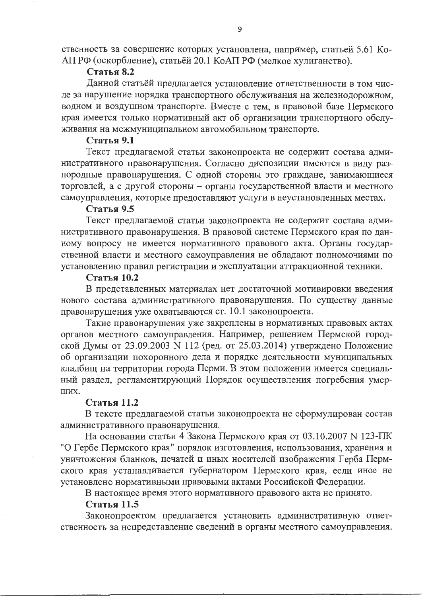ственность за совершение которых установлена, например, статьей 5.61 Ко-АПРФ (оскорбление), статьёй 20.1 КоАПРФ (мелкое хулиганство).

### Статья 8.2

Данной статьёй предлагается установление ответственности в том числе за нарушение порядка транспортного обслуживания на железнодорожном, водном и воздушном транспорте. Вместе с тем, в правовой базе Пермского края имеется только нормативный акт об организации транспортного обслуживания на межмуниципальном автомобильном транспорте.

### Статья 9.1

Текст предлагаемой статьи законопроекта не содержит состава административного правонарушения. Согласно диспозиции имеются в виду разнородные правонарушения. С одной стороны это граждане, занимающиеся торговлей, а с другой стороны - органы государственной власти и местного самоуправления, которые предоставляют услуги в неустановленных местах.

## Статья 9.5

Текст предлагаемой статьи законопроекта не содержит состава административного правонарушения. В правовой системе Пермского края по данному вопросу не имеется нормативного правового акта. Органы государственной власти и местного самоуправления не обладают полномочиями по установлению правил регистрации и эксплуатации аттракционной техники.

## Статья 10.2

В представленных материалах нет достаточной мотивировки введения нового состава административного правонарушения. По существу данные правонарушения уже охватываются ст. 10.1 законопроекта.

Такие правонарушения уже закреплены в нормативных правовых актах органов местного самоуправления. Например, решением Пермской городской Думы от 23.09.2003 N 112 (ред. от 25.03.2014) утверждено Положение об организации похоронного дела и порядке деятельности муниципальных кладбищ на территории города Перми. В этом положении имеется специальный раздел, регламентирующий Порядок осуществления погребения умер-ШИХ.

# Статья 11.2

В тексте предлагаемой статьи законопроекта не сформулирован состав административного правонарушения.

На основании статьи 4 Закона Пермского края от 03.10.2007 N 123-ПК "О Гербе Пермского края" порядок изготовления, использования, хранения и уничтожения бланков, печатей и иных носителей изображения Герба Пермского края устанавливается губернатором Пермского края, если иное не установлено нормативными правовыми актами Российской Федерации.

В настоящее время этого нормативного правового акта не принято.

# Статья 11.5

Законопроектом предлагается установить административную ответственность за непредставление сведений в органы местного самоуправления.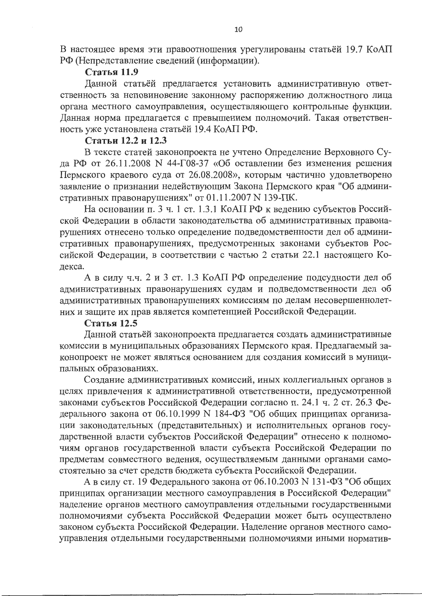В настоящее время эти правоотношения урегулированы статьёй 19.7 КоАП РФ (Непредставление сведений (информации).

## Статья 11.9

Данной статьёй предлагается установить административную ответственность за неповиновение законному распоряжению должностного лица органа местного самоуправления, осуществляющего контрольные функции. Данная норма предлагается с превышением полномочий. Такая ответственность уже установлена статьёй 19.4 КоАП РФ.

## Статьи 12.2 и 12.3

В тексте статей законопроекта не учтено Определение Верховного Суда РФ от 26.11.2008 N 44-Г08-37 «Об оставлении без изменения решения Пермского краевого суда от 26.08.2008», которым частично удовлетворено заявление о признании недействующим Закона Пермского края "Об административных правонарушениях" от 01.11.2007 N 139-ПК.

На основании п. 3 ч. 1 ст. 1.3.1 КоАП РФ к ведению субъектов Российской Федерации в области законодательства об административных правонарушениях отнесено только определение подведомственности дел об административных правонарушениях, предусмотренных законами субъектов Российской Федерации, в соответствии с частью 2 статьи 22.1 настоящего Кодекса.

А в силу ч.ч. 2 и 3 ст. 1.3 КоАП РФ определение подсудности дел об административных правонарушениях судам и подведомственности дел об административных правонарушениях комиссиям по делам несовершеннолетних и защите их прав является компетенцией Российской Федерации.

### Статья 12.5

Данной статьёй законопроекта предлагается создать административные комиссии в муниципальных образованиях Пермского края. Предлагаемый законопроект не может являться основанием для создания комиссий в муниципальных образованиях.

Создание административных комиссий, иных коллегиальных органов в целях привлечения к административной ответственности, предусмотренной законами субъектов Российской Федерации согласно п. 24.1 ч. 2 ст. 26.3 Федерального закона от 06.10.1999 N 184-ФЗ "Об общих принципах организации законодательных (представительных) и исполнительных органов государственной власти субъектов Российской Федерации" отнесено к полномочиям органов государственной власти субъекта Российской Федерации по предметам совместного ведения, осуществляемым данными органами самостоятельно за счет средств бюджета субъекта Российской Федерации.

А в силу ст. 19 Федерального закона от 06.10.2003 N 131-ФЗ "Об общих принципах организации местного самоуправления в Российской Федерации" наделение органов местного самоуправления отдельными государственными полномочиями субъекта Российской Федерации может быть осуществлено законом субъекта Российской Федерации. Наделение органов местного самоуправления отдельными государственными полномочиями иными норматив